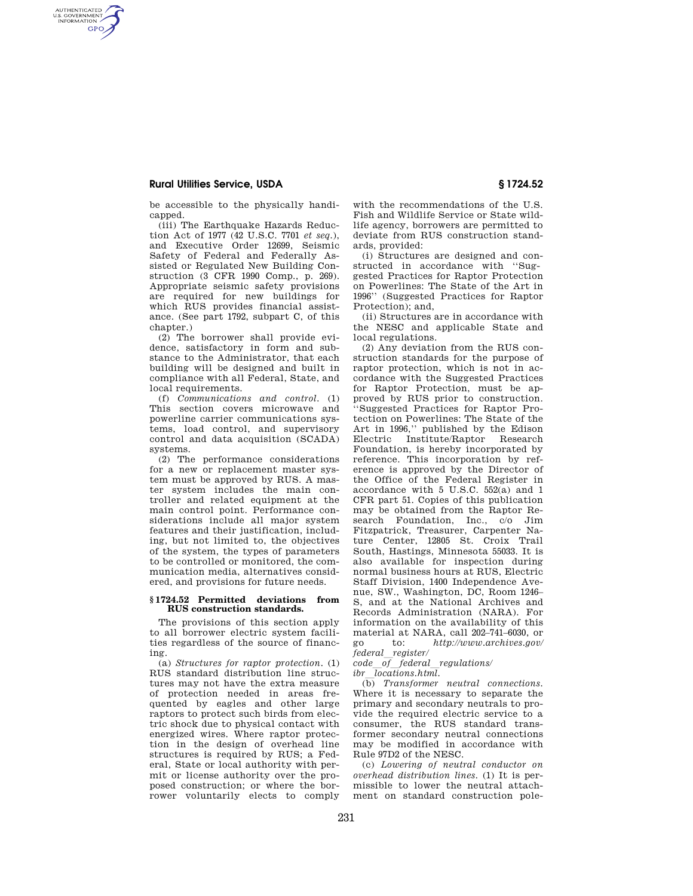## **Rural Utilities Service, USDA § 1724.52**

AUTHENTICATED<br>U.S. GOVERNMENT<br>INFORMATION **GPO** 

> be accessible to the physically handicapped.

(iii) The Earthquake Hazards Reduction Act of 1977 (42 U.S.C. 7701 *et seq.*), and Executive Order 12699, Seismic Safety of Federal and Federally Assisted or Regulated New Building Construction (3 CFR 1990 Comp., p. 269). Appropriate seismic safety provisions are required for new buildings for which RUS provides financial assistance. (See part 1792, subpart C, of this chapter.)

(2) The borrower shall provide evidence, satisfactory in form and substance to the Administrator, that each building will be designed and built in compliance with all Federal, State, and local requirements.

(f) *Communications and control.* (1) This section covers microwave and powerline carrier communications systems, load control, and supervisory control and data acquisition (SCADA) systems.

(2) The performance considerations for a new or replacement master system must be approved by RUS. A master system includes the main controller and related equipment at the main control point. Performance considerations include all major system features and their justification, including, but not limited to, the objectives of the system, the types of parameters to be controlled or monitored, the communication media, alternatives considered, and provisions for future needs.

## **§ 1724.52 Permitted deviations from RUS construction standards.**

The provisions of this section apply to all borrower electric system facilities regardless of the source of financing.

(a) *Structures for raptor protection.* (1) RUS standard distribution line structures may not have the extra measure of protection needed in areas frequented by eagles and other large raptors to protect such birds from electric shock due to physical contact with energized wires. Where raptor protection in the design of overhead line structures is required by RUS; a Federal, State or local authority with permit or license authority over the proposed construction; or where the borrower voluntarily elects to comply

with the recommendations of the U.S. Fish and Wildlife Service or State wildlife agency, borrowers are permitted to deviate from RUS construction standards, provided:

(i) Structures are designed and constructed in accordance with ''Suggested Practices for Raptor Protection on Powerlines: The State of the Art in 1996'' (Suggested Practices for Raptor Protection); and,

(ii) Structures are in accordance with the NESC and applicable State and local regulations.

(2) Any deviation from the RUS construction standards for the purpose of raptor protection, which is not in accordance with the Suggested Practices for Raptor Protection, must be approved by RUS prior to construction. ''Suggested Practices for Raptor Protection on Powerlines: The State of the Art in 1996,'' published by the Edison Electric Institute/Raptor Research Foundation, is hereby incorporated by reference. This incorporation by reference is approved by the Director of the Office of the Federal Register in accordance with 5 U.S.C. 552(a) and 1 CFR part 51. Copies of this publication may be obtained from the Raptor Research Foundation, Inc., c/o Jim Fitzpatrick, Treasurer, Carpenter Nature Center, 12805 St. Croix Trail South, Hastings, Minnesota 55033. It is also available for inspection during normal business hours at RUS, Electric Staff Division, 1400 Independence Avenue, SW., Washington, DC, Room 1246– S, and at the National Archives and Records Administration (NARA). For information on the availability of this material at NARA, call 202–741–6030, or go to: *http://www.archives.gov/ federal*l*register/* 

*code*<sup>*of*</sup>\_federal\_regulations/<br>*ibr locations html* 

*ibr*l*locations.html.*  (b) *Transformer neutral connections.*  Where it is necessary to separate the primary and secondary neutrals to provide the required electric service to a consumer, the RUS standard transformer secondary neutral connections may be modified in accordance with Rule 97D2 of the NESC.

(c) *Lowering of neutral conductor on overhead distribution lines.* (1) It is permissible to lower the neutral attachment on standard construction pole-